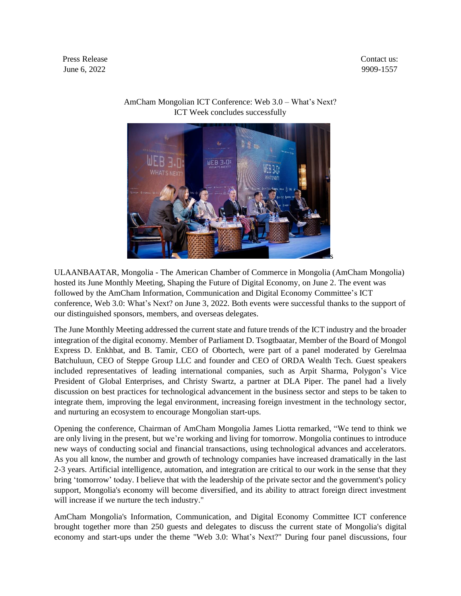Press Release Contact us: June 6, 2022 9909-1557



## AmCham Mongolian ICT Conference: Web 3.0 – What's Next? ICT Week concludes successfully

ULAANBAATAR, Mongolia - The American Chamber of Commerce in Mongolia (AmCham Mongolia) hosted its June Monthly Meeting, Shaping the Future of Digital Economy, on June 2. The event was followed by the AmCham Information, Communication and Digital Economy Committee's ICT conference, Web 3.0: What's Next? on June 3, 2022. Both events were successful thanks to the support of our distinguished sponsors, members, and overseas delegates.

The June Monthly Meeting addressed the current state and future trends of the ICT industry and the broader integration of the digital economy. Member of Parliament D. Tsogtbaatar, Member of the Board of Mongol Express D. Enkhbat, and B. Tamir, CEO of Obortech, were part of a panel moderated by Gerelmaa Batchuluun, CEO of Steppe Group LLC and founder and CEO of ORDA Wealth Tech. Guest speakers included representatives of leading international companies, such as Arpit Sharma, Polygon's Vice President of Global Enterprises, and Christy Swartz, a partner at DLA Piper. The panel had a lively discussion on best practices for technological advancement in the business sector and steps to be taken to integrate them, improving the legal environment, increasing foreign investment in the technology sector, and nurturing an ecosystem to encourage Mongolian start-ups.

Opening the conference, Chairman of AmCham Mongolia James Liotta remarked, "We tend to think we are only living in the present, but we're working and living for tomorrow. Mongolia continues to introduce new ways of conducting social and financial transactions, using technological advances and accelerators. As you all know, the number and growth of technology companies have increased dramatically in the last 2-3 years. Artificial intelligence, automation, and integration are critical to our work in the sense that they bring 'tomorrow' today. I believe that with the leadership of the private sector and the government's policy support, Mongolia's economy will become diversified, and its ability to attract foreign direct investment will increase if we nurture the tech industry."

AmCham Mongolia's Information, Communication, and Digital Economy Committee ICT conference brought together more than 250 guests and delegates to discuss the current state of Mongolia's digital economy and start-ups under the theme "Web 3.0: What's Next?" During four panel discussions, four